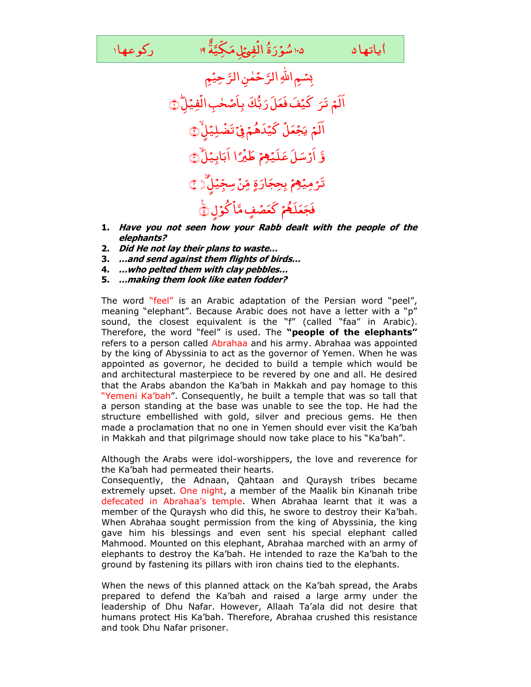۱۰۵ سُوَرَةُ الْفِيَهِلِ مَكِيَّةَ ۱۹  $\bigcup\limits_{i=1}^N\mathbb{Z}$ وعها ا <sub>شُوَّرَةُ</sub> الَّفِيً الفئة ٌ ياتها ۵  $\sim$  ۱۰۵ سُوَرَةُ الْفِيَ لِمَكِيَّةَ ۱۹

ٰ أياتهاه



- **1. Have you not seen how your Rabb dealt with the people of the elephants?**
- **2. Did He not lay their plans to waste…**
- **3. …and send against them flights of birds…**
- **4. …who pelted them with clay pebbles…**
- **5. …making them look like eaten fodder?**

The word "feel" is an Arabic adaptation of the Persian word "peel", meaning "elephant". Because Arabic does not have a letter with a "p" sound, the closest equivalent is the "f" (called "faa" in Arabic). Therefore, the word "feel" is used. The **"people of the elephants"**  refers to a person called Abrahaa and his army. Abrahaa was appointed by the king of Abyssinia to act as the governor of Yemen. When he was appointed as governor, he decided to build a temple which would be and architectural masterpiece to be revered by one and all. He desired that the Arabs abandon the Ka'bah in Makkah and pay homage to this "Yemeni Ka'bah". Consequently, he built a temple that was so tall that a person standing at the base was unable to see the top. He had the structure embellished with gold, silver and precious gems. He then made a proclamation that no one in Yemen should ever visit the Ka'bah in Makkah and that pilgrimage should now take place to his "Ka'bah".

Although the Arabs were idol-worshippers, the love and reverence for the Ka'bah had permeated their hearts.

Consequently, the Adnaan, Qahtaan and Quraysh tribes became extremely upset. One night, a member of the Maalik bin Kinanah tribe defecated in Abrahaa's temple. When Abrahaa learnt that it was a member of the Quraysh who did this, he swore to destroy their Ka'bah. When Abrahaa sought permission from the king of Abyssinia, the king gave him his blessings and even sent his special elephant called Mahmood. Mounted on this elephant, Abrahaa marched with an army of elephants to destroy the Ka'bah. He intended to raze the Ka'bah to the ground by fastening its pillars with iron chains tied to the elephants.

When the news of this planned attack on the Ka'bah spread, the Arabs prepared to defend the Ka'bah and raised a large army under the leadership of Dhu Nafar. However, Allaah Ta'ala did not desire that humans protect His Ka'bah. Therefore, Abrahaa crushed this resistance and took Dhu Nafar prisoner.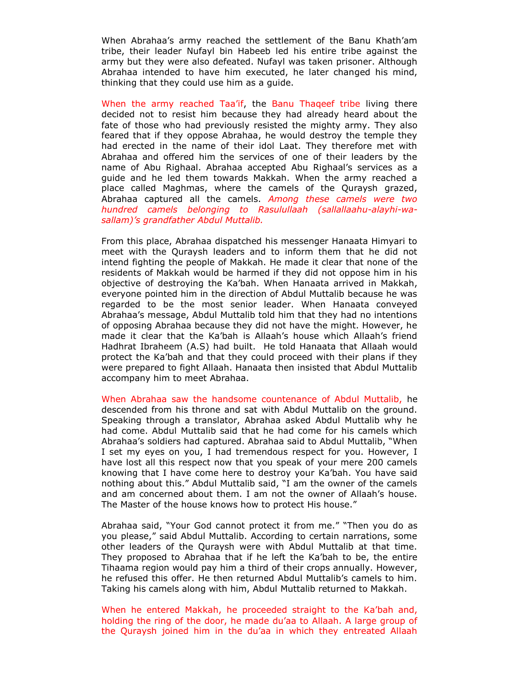When Abrahaa's army reached the settlement of the Banu Khath'am tribe, their leader Nufayl bin Habeeb led his entire tribe against the army but they were also defeated. Nufayl was taken prisoner. Although Abrahaa intended to have him executed, he later changed his mind, thinking that they could use him as a guide.

When the army reached Taa'if, the Banu Thaqeef tribe living there decided not to resist him because they had already heard about the fate of those who had previously resisted the mighty army. They also feared that if they oppose Abrahaa, he would destroy the temple they had erected in the name of their idol Laat. They therefore met with Abrahaa and offered him the services of one of their leaders by the name of Abu Righaal. Abrahaa accepted Abu Righaal's services as a guide and he led them towards Makkah. When the army reached a place called Maghmas, where the camels of the Quraysh grazed, Abrahaa captured all the camels. *Among these camels were two hundred camels belonging to Rasulullaah (sallallaahu-alayhi-wasallam)'s grandfather Abdul Muttalib.* 

From this place, Abrahaa dispatched his messenger Hanaata Himyari to meet with the Quraysh leaders and to inform them that he did not intend fighting the people of Makkah. He made it clear that none of the residents of Makkah would be harmed if they did not oppose him in his objective of destroying the Ka'bah. When Hanaata arrived in Makkah, everyone pointed him in the direction of Abdul Muttalib because he was regarded to be the most senior leader. When Hanaata conveyed Abrahaa's message, Abdul Muttalib told him that they had no intentions of opposing Abrahaa because they did not have the might. However, he made it clear that the Ka'bah is Allaah's house which Allaah's friend Hadhrat Ibraheem (A.S) had built. He told Hanaata that Allaah would protect the Ka'bah and that they could proceed with their plans if they were prepared to fight Allaah. Hanaata then insisted that Abdul Muttalib accompany him to meet Abrahaa.

When Abrahaa saw the handsome countenance of Abdul Muttalib, he descended from his throne and sat with Abdul Muttalib on the ground. Speaking through a translator, Abrahaa asked Abdul Muttalib why he had come. Abdul Muttalib said that he had come for his camels which Abrahaa's soldiers had captured. Abrahaa said to Abdul Muttalib, "When I set my eyes on you, I had tremendous respect for you. However, I have lost all this respect now that you speak of your mere 200 camels knowing that I have come here to destroy your Ka'bah. You have said nothing about this." Abdul Muttalib said, "I am the owner of the camels and am concerned about them. I am not the owner of Allaah's house. The Master of the house knows how to protect His house."

Abrahaa said, "Your God cannot protect it from me." "Then you do as you please," said Abdul Muttalib. According to certain narrations, some other leaders of the Quraysh were with Abdul Muttalib at that time. They proposed to Abrahaa that if he left the Ka'bah to be, the entire Tihaama region would pay him a third of their crops annually. However, he refused this offer. He then returned Abdul Muttalib's camels to him. Taking his camels along with him, Abdul Muttalib returned to Makkah.

When he entered Makkah, he proceeded straight to the Ka'bah and, holding the ring of the door, he made du'aa to Allaah. A large group of the Quraysh joined him in the du'aa in which they entreated Allaah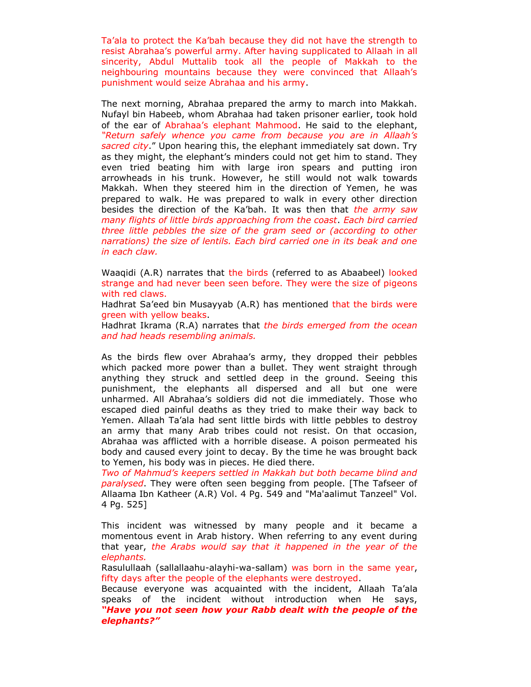Ta'ala to protect the Ka'bah because they did not have the strength to resist Abrahaa's powerful army. After having supplicated to Allaah in all sincerity, Abdul Muttalib took all the people of Makkah to the neighbouring mountains because they were convinced that Allaah's punishment would seize Abrahaa and his army.

The next morning, Abrahaa prepared the army to march into Makkah. Nufayl bin Habeeb, whom Abrahaa had taken prisoner earlier, took hold of the ear of Abrahaa's elephant Mahmood. He said to the elephant, *"Return safely whence you came from because you are in Allaah's sacred city*." Upon hearing this, the elephant immediately sat down. Try as they might, the elephant's minders could not get him to stand. They even tried beating him with large iron spears and putting iron arrowheads in his trunk. However, he still would not walk towards Makkah. When they steered him in the direction of Yemen, he was prepared to walk. He was prepared to walk in every other direction besides the direction of the Ka'bah. It was then that *the army saw many flights of little birds approaching from the coast*. *Each bird carried three little pebbles the size of the gram seed or (according to other narrations) the size of lentils. Each bird carried one in its beak and one in each claw.* 

Waaqidi (A.R) narrates that the birds (referred to as Abaabeel) looked strange and had never been seen before. They were the size of pigeons with red claws.

Hadhrat Sa'eed bin Musayyab (A.R) has mentioned that the birds were green with yellow beaks.

Hadhrat Ikrama (R.A) narrates that *the birds emerged from the ocean and had heads resembling animals.*

As the birds flew over Abrahaa's army, they dropped their pebbles which packed more power than a bullet. They went straight through anything they struck and settled deep in the ground. Seeing this punishment, the elephants all dispersed and all but one were unharmed. All Abrahaa's soldiers did not die immediately. Those who escaped died painful deaths as they tried to make their way back to Yemen. Allaah Ta'ala had sent little birds with little pebbles to destroy an army that many Arab tribes could not resist. On that occasion, Abrahaa was afflicted with a horrible disease. A poison permeated his body and caused every joint to decay. By the time he was brought back to Yemen, his body was in pieces. He died there.

*Two of Mahmud's keepers settled in Makkah but both became blind and paralysed*. They were often seen begging from people. [The Tafseer of Allaama Ibn Katheer (A.R) Vol. 4 Pg. 549 and "Ma'aalimut Tanzeel" Vol. 4 Pg. 525]

This incident was witnessed by many people and it became a momentous event in Arab history. When referring to any event during that year, *the Arabs would say that it happened in the year of the elephants.*

Rasulullaah (sallallaahu-alayhi-wa-sallam) was born in the same year, fifty days after the people of the elephants were destroyed.

Because everyone was acquainted with the incident, Allaah Ta'ala speaks of the incident without introduction when He says, *"Have you not seen how your Rabb dealt with the people of the elephants?"*